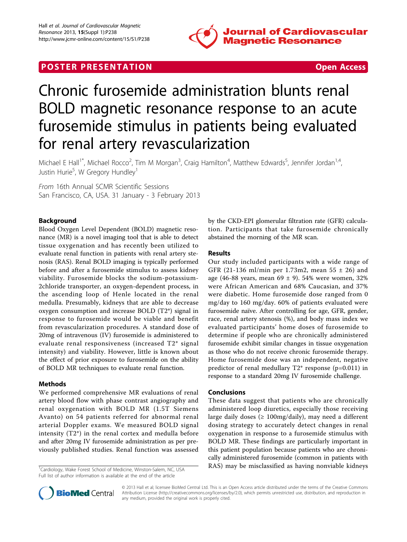

# **POSTER PRESENTATION CONSUMING THE SECOND CONSUMING THE SECOND CONSUMING THE SECOND CONSUMING THE SECOND CONSUMING THE SECOND CONSUMING THE SECOND CONSUMING THE SECOND CONSUMING THE SECOND CONSUMING THE SECOND CONSUMING**



# Chronic furosemide administration blunts renal BOLD magnetic resonance response to an acute furosemide stimulus in patients being evaluated for renal artery revascularization

Michael E Hall<sup>1\*</sup>, Michael Rocco<sup>2</sup>, Tim M Morgan<sup>3</sup>, Craig Hamilton<sup>4</sup>, Matthew Edwards<sup>5</sup>, Jennifer Jordan<sup>1,4</sup>, Justin Hurie<sup>5</sup>, W Gregory Hundley<sup>1</sup>

From 16th Annual SCMR Scientific Sessions San Francisco, CA, USA. 31 January - 3 February 2013

# Background

Blood Oxygen Level Dependent (BOLD) magnetic resonance (MR) is a novel imaging tool that is able to detect tissue oxygenation and has recently been utilized to evaluate renal function in patients with renal artery stenosis (RAS). Renal BOLD imaging is typically performed before and after a furosemide stimulus to assess kidney viability. Furosemide blocks the sodium-potassium-2chloride transporter, an oxygen-dependent process, in the ascending loop of Henle located in the renal medulla. Presumably, kidneys that are able to decrease oxygen consumption and increase BOLD (T2\*) signal in response to furosemide would be viable and benefit from revascularization procedures. A standard dose of 20mg of intravenous (IV) furosemide is administered to evaluate renal responsiveness (increased T2\* signal intensity) and viability. However, little is known about the effect of prior exposure to furosemide on the ability of BOLD MR techniques to evaluate renal function.

### Methods

We performed comprehensive MR evaluations of renal artery blood flow with phase contrast angiography and renal oxygenation with BOLD MR (1.5T Siemens Avanto) on 54 patients referred for abnormal renal arterial Doppler exams. We measured BOLD signal intensity (T2\*) in the renal cortex and medulla before and after 20mg IV furosemide administration as per previously published studies. Renal function was assessed

Full list of author information is available at the end of the article

by the CKD-EPI glomerular filtration rate (GFR) calculation. Participants that take furosemide chronically abstained the morning of the MR scan.

## Results

Our study included participants with a wide range of GFR (21-136 ml/min per 1.73m2, mean  $55 \pm 26$ ) and age (46-88 years, mean  $69 \pm 9$ ). 54% were women, 32% were African American and 68% Caucasian, and 37% were diabetic. Home furosemide dose ranged from 0 mg/day to 160 mg/day. 60% of patients evaluated were furosemide naïve. After controlling for age, GFR, gender, race, renal artery stenosis (%), and body mass index we evaluated participants' home doses of furosemide to determine if people who are chronically administered furosemide exhibit similar changes in tissue oxygenation as those who do not receive chronic furosemide therapy. Home furosemide dose was an independent, negative predictor of renal medullary T2\* response (p=0.011) in response to a standard 20mg IV furosemide challenge.

### Conclusions

These data suggest that patients who are chronically administered loop diuretics, especially those receiving large daily doses ( $\geq 100$ mg/daily), may need a different dosing strategy to accurately detect changes in renal oxygenation in response to a furosemide stimulus with BOLD MR. These findings are particularly important in this patient population because patients who are chronically administered furosemide (common in patients with <sup>1</sup>Cardiology, Wake Forest School of Medicine, Winston-Salem, NC, USA RAS) may be misclassified as having nonviable kidneys



© 2013 Hall et al; licensee BioMed Central Ltd. This is an Open Access article distributed under the terms of the Creative Commons Attribution License [\(http://creativecommons.org/licenses/by/2.0](http://creativecommons.org/licenses/by/2.0)), which permits unrestricted use, distribution, and reproduction in any medium, provided the original work is properly cited.